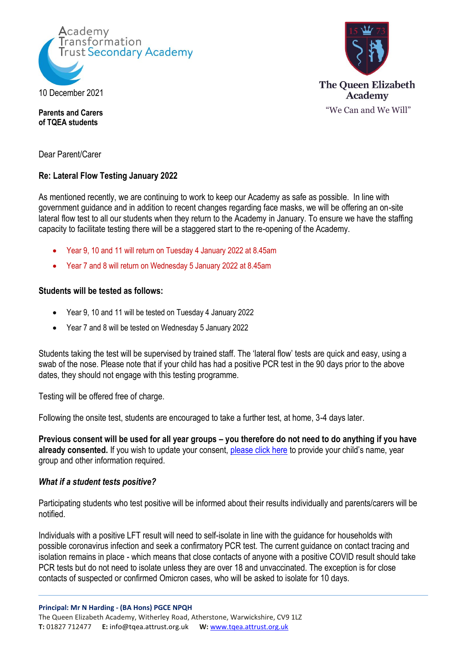



**Parents and Carers of TQEA students**

Dear Parent/Carer

# **Re: Lateral Flow Testing January 2022**

As mentioned recently, we are continuing to work to keep our Academy as safe as possible. In line with government guidance and in addition to recent changes regarding face masks, we will be offering an on-site lateral flow test to all our students when they return to the Academy in January. To ensure we have the staffing capacity to facilitate testing there will be a staggered start to the re-opening of the Academy.

- Year 9, 10 and 11 will return on Tuesday 4 January 2022 at 8.45am
- Year 7 and 8 will return on Wednesday 5 January 2022 at 8.45am

### **Students will be tested as follows:**

- Year 9, 10 and 11 will be tested on Tuesday 4 January 2022
- Year 7 and 8 will be tested on Wednesday 5 January 2022

Students taking the test will be supervised by trained staff. The 'lateral flow' tests are quick and easy, using a swab of the nose. Please note that if your child has had a positive PCR test in the 90 days prior to the above dates, they should not engage with this testing programme.

Testing will be offered free of charge.

Following the onsite test, students are encouraged to take a further test, at home, 3-4 days later.

**Previous consent will be used for all year groups – you therefore do not need to do anything if you have**  already consented. If you wish to update your consent, [please click here](https://docs.google.com/forms/d/e/1FAIpQLSeQ1EUsABBMflV1kB-THiruY2v8JvxGewoR0AWP7TMsVYq4yA/viewform?vc=0&c=0&w=1&flr=0) to provide your child's name, year group and other information required.

## *What if a student tests positive?*

Participating students who test positive will be informed about their results individually and parents/carers will be notified.

Individuals with a positive LFT result will need to self-isolate in line with the guidance for households with possible coronavirus infection and seek a confirmatory PCR test. The current guidance on contact tracing and isolation remains in place - which means that close contacts of anyone with a positive COVID result should take PCR tests but do not need to isolate unless they are over 18 and unvaccinated. The exception is for close contacts of suspected or confirmed Omicron cases, who will be asked to isolate for 10 days.